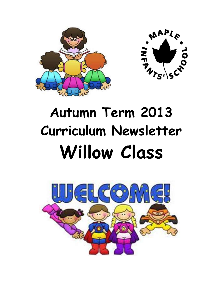



# **Autumn Term 2013 Curriculum Newsletter Willow Class**

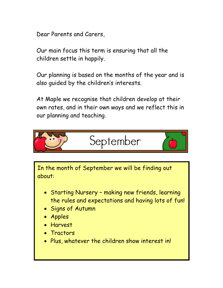Dear Parents and Carers,

Our main focus this term is ensuring that all the children settle in happily.

Our planning is based on the months of the year and is also guided by the children's interests.

At Maple we recognise that children develop at their own rates, and in their own ways and we reflect this in our planning and teaching.



In the month of September we will be finding out about:

- Starting Nursery making new friends, learning the rules and expectations and having lots of fun!
- Signs of Autumn
- Apples
- Harvest
- **Tractors**
- Plus, whatever the children show interest in!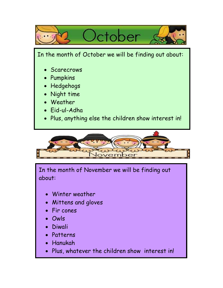



In the month of November we will be finding out about:

- Winter weather
- Mittens and gloves
- Fir cones
- Owls
- Diwali
- Patterns
- Hanukah
- Plus, whatever the children show interest in!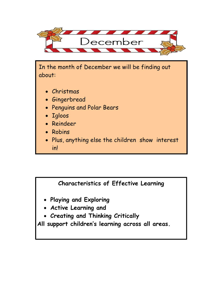

In the month of December we will be finding out about:

- Christmas
- Gingerbread
- Penguins and Polar Bears
- Igloos
- Reindeer
- Robins
- Plus, anything else the children show interest in!

## **Characteristics of Effective Learning**

- **Playing and Exploring**
- **Active Learning and**
- **Creating and Thinking Critically**

**All support children's learning across all areas.**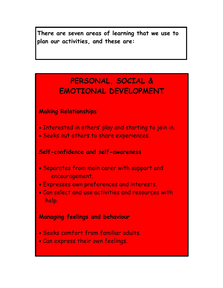**There are seven areas of learning that we use to plan our activities, and these are:**

## **PERSONAL, SOCIAL & EMOTIONAL DEVELOPMENT**

## **Making Relationships**

- . Interested in others' play and starting to join in.
- Seeks out others to share experiences.

#### **Self-confidence and self-awareness**

- Separates from main carer with support and encouragement.
- Expresses own preferences and interests.
- Can select and use activities and resources with help.

## **Managing feelings and behaviour**

- Seeks comfort from familiar adults.
- Can express their own feelings.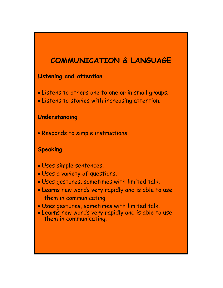## **COMMUNICATION & LANGUAGE**

#### **Listening and attention**

- Listens to others one to one or in small groups.
- Listens to stories with increasing attention.

## **Understanding**

Responds to simple instructions.

## **Speaking**

- Uses simple sentences.
- Uses a variety of questions.
- Uses gestures, sometimes with limited talk.
- Learns new words very rapidly and is able to use them in communicating.
- Uses gestures, sometimes with limited talk.
- Learns new words very rapidly and is able to use them in communicating.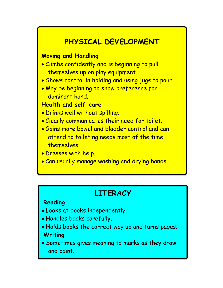## **PHYSICAL DEVELOPMENT**

## **Moving and Handling**

- Climbs confidently and is beginning to pull themselves up on play equipment.
- . Shows control in holding and using jugs to pour.
- May be beginning to show preference for dominant hand.

## **Health and self-care**

- Drinks well without spilling.
- Clearly communicates their need for toilet.
- Gains more bowel and bladder control and can attend to toileting needs most of the time themselves.
- Dresses with help.
- Can usually manage washing and drying hands.

## **LITERACY**

#### **Reading**

- Looks at books independently.
- Handles books carefully.
- Holds books the correct way up and turns pages. **Writing**
- Sometimes gives meaning to marks as they draw and paint.